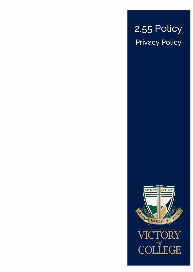# 2.55 Policy Privacy Policy



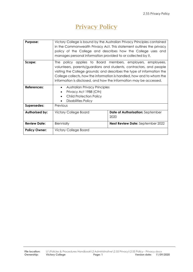# Privacy Policy

| Purpose:             | Victory College is bound by the Australian Privacy Principles contained<br>in the Commonwealth Privacy Act. This statement outlines the privacy<br>policy of the College and describes how the College uses and<br>manages personal information provided to or collected by it.                                                                                  |                                         |
|----------------------|------------------------------------------------------------------------------------------------------------------------------------------------------------------------------------------------------------------------------------------------------------------------------------------------------------------------------------------------------------------|-----------------------------------------|
| Scope:               | policy applies to Board members, employers, employees,<br>The I<br>volunteers, parents/guardians and students, contractors, and people<br>visiting the College grounds; and describes the type of information the<br>College collects, how the information is handled, how and to whom the<br>information is disclosed, and how the information may be accessed. |                                         |
| References:          | <b>Australian Privacy Principles</b><br>$\bullet$                                                                                                                                                                                                                                                                                                                |                                         |
|                      | Privacy Act 1988 (Cth)<br>$\bullet$                                                                                                                                                                                                                                                                                                                              |                                         |
|                      | <b>Child Protection Policy</b><br>$\bullet$<br><b>Disabilities Policy</b><br>$\bullet$                                                                                                                                                                                                                                                                           |                                         |
| Supersedes:          | Previous                                                                                                                                                                                                                                                                                                                                                         |                                         |
|                      |                                                                                                                                                                                                                                                                                                                                                                  |                                         |
| Authorised by:       | <b>Victory College Board</b>                                                                                                                                                                                                                                                                                                                                     | Date of Authorisation: September        |
|                      |                                                                                                                                                                                                                                                                                                                                                                  | 2020                                    |
| <b>Review Date:</b>  | Biennially                                                                                                                                                                                                                                                                                                                                                       | <b>Next Review Date: September 2022</b> |
| <b>Policy Owner:</b> | <b>Victory College Board</b>                                                                                                                                                                                                                                                                                                                                     |                                         |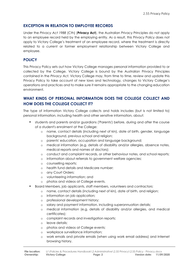#### **EXCEPTION IN RELATION TO EMPLOYEE RECORDS**

Under the *Privacy Act 1988* (Cth) (**Privacy Act**), the Australian Privacy Principles do not apply to an employee record held by the employing entity. As a result, this Privacy Policy does not apply to Victory College's treatment of an employee record, where the treatment is directly related to a current or former employment relationship between Victory College and employee.

#### **POLICY**

This Privacy Policy sets out how Victory College manages personal information provided to or collected by the College. Victory College is bound by the Australian Privacy Principles contained in the *Privacy Act.* Victory College may, from time to time, review and update this Privacy Policy to take account of new laws and technology, changes to Victory College's operations and practices and to make sure it remains appropriate to the changing education environment.

### **WHAT KINDS OF PERSONAL INFORMATION DOES THE COLLEGE COLLECT AND HOW DOES THE COLLEGE COLLECT IT?**

The type of information Victory College collects and holds includes (but is not limited to) personal information, including health and other sensitive information, about:

- students and parents and/or guardians ('Parents') before, during and after the course of a student's enrolment at the College:
	- o name, contact details (including next of kin), date of birth, gender, language background, previous school and religion;
	- o parents' education, occupation and language background;
	- o medical information (e.g. details of disability and/or allergies, absence notes, medical reports and names of doctors);
	- o conduct and complaint records, or other behaviour notes, and school reports;
	- o information about referrals to government welfare agencies;
	- o counselling reports;
	- o health fund details and Medicare number;
	- o any Court Orders;
	- o volunteering information; and
	- o photos and videos at College events.
- Board Members, job applicants, staff members, volunteers and contractors:
	- o name, contact details (including next of kin), date of birth, and religion;
		- o information on job application;
		- o professional development history;
		- o salary and payment information, including superannuation details;
		- o medical information (e.g. details of disability and/or allergies, and medical certificates);
		- o complaint records and investigation reports;
		- o leave details;
		- o photos and videos at College events;
		- o workplace surveillance information;
		- o work emails and private emails (when using work email address) and Internet browsing history.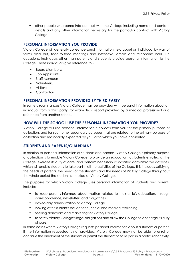• other people who come into contact with the College including name and contact details and any other information necessary for the particular contact with Victory College.

#### **PERSONAL INFORMATION YOU PROVIDE**

Victory College will generally collect personal information held about an individual by way of forms filled out, face-to-face meetings and interviews, emails and telephone calls. On occasions, individuals other than parents and students provide personal information to the College. These individuals give reference to:-

- Board Members;
- Job Applicants;
- Staff Members;
- Volunteers;
- Visitors;
- Contractors.

#### **PERSONAL INFORMATION PROVIDED BY THIRD PARTY**

In some circumstances Victory College may be provided with personal information about an individual from a third party, for example, a report provided by a medical professional or a reference from another school.

#### **HOW WILL THE SCHOOL USE THE PERSONAL INFORMATION YOU PROVIDE?**

Victory College will use personal information it collects from you for the primary purpose of collection, and for such other secondary purposes that are related to the primary purpose of collection and reasonably expected by you, or to which you have consented.

#### **STUDENTS AND PARENTS/GUARDIANS**

In relation to personal information of students and parents, Victory College's primary purpose of collection is to enable Victory College to provide an education to students enrolled at the College, exercise its duty of care, and perform necessary associated administrative activities, which will enable students to take part in all the activities of the College. This includes satisfying the needs of parents, the needs of the students and the needs of Victory College throughout the whole period the student is enrolled at Victory College.

The purposes for which Victory College uses personal information of students and parents include:

- to keep parents informed about matters related to their child's education, through correspondence, newsletters and magazines
- day-to-day administration of Victory College
- looking after student's educational, social and medical wellbeing
- seeking donations and marketing for Victory College
- to satisfy Victory College's legal obligations and allow the College to discharge its duty of care.

In some cases where Victory College requests personal information about a student or parent, if the information requested is not provided, Victory College may not be able to enrol or continue the enrolment of the student or permit the student to take part in a particular activity.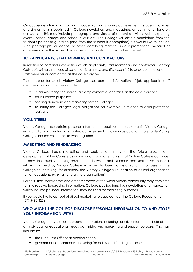On occasions information such as academic and sporting achievements, student activities and similar news is published in College newsletters and magazines, on our intranet [and on our website] this may include photographs and videos of student activities such as sporting events, school camps and school excursions. The College will obtain permissions from the student's parent or guardian (and from the student if appropriate) if it would like to include such photographs or videos [or other identifying material] in our promotional material or otherwise make this material available to the public such as on the internet.

#### **JOB APPLICANTS, STAFF MEMBERS AND CONTRACTORS**

In relation to personal information of job applicants, staff members and contractors, Victory College's primary purpose of collection is to assess and (if successful) to engage the applicant, staff member or contractor, as the case may be.

The purposes for which Victory College uses personal information of job applicants, staff members and contractors include:

- in administering the individual's employment or contract, as the case may be;
- for insurance purposes;
- seeking donations and marketing for the College;
- to satisfy the College's legal obligations, for example, in relation to child protection leaislation.

#### **VOLUNTEERS**

Victory College also obtains personal information about volunteers who assist Victory College in its functions or conduct associated activities, such as alumni associations, to enable Victory College and the volunteers to work together.

#### **MARKETING AND FUNDRAISING**

Victory College treats marketing and seeking donations for the future growth and development of the College as an important part of ensuring that Victory College continues to provide a quality learning environment in which both students and staff thrive. Personal information held by Victory College may be disclosed to organisations that assist in the College's fundraising, for example, the Victory College's Foundation or alumni organisation [or, on occasions, external fundraising organisations].

Parents, staff, contractors and other members of the wider Victory community may from time to time receive fundraising information. College publications, like newsletters and magazines, which include personal information, may be used for marketing purposes.

If you would like to opt-out of direct marketing, please contact the College Reception on (07) 5482 8206.

#### **WHO MIGHT THE COLLEGE DISCLOSE PERSONAL INFORMATION TO AND STORE YOUR INFORMATION WITH?**

Victory College may disclose personal information, including sensitive information, held about an individual for educational, legal, administrative, marketing and support purposes. This may include to:

- the Executive Officer at another school;
- government departments (including for policy and funding purposes);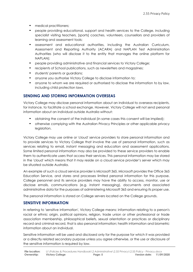- medical practitioners;
- people providing educational, support and health services to the College, including specialist visiting teachers, [sports] coaches, volunteers, counsellors and providers of learning and assessment tools;
- assessment and educational authorities, including the Australian Curriculum, Assessment and Reporting Authority (ACARA) and NAPLAN Test Administration Authorities (who will disclose it to the entity that manages the online platform for NAPLAN);
- people providing administrative and financial services to Victory College;
- recipients of School publications, such as newsletters and magazines;
- students' parents or quardians;
- anyone you authorise Victory College to disclose information to;
- anyone to whom we are required or authorised to disclose the information to by law, including child protection laws.

#### **SENDING AND STORING INFORMATION OVERSEAS**

Victory College may disclose personal information about an individual to overseas recipients, for instance, to facilitate a school exchange. However, Victory College will not send personal information about an individual outside Australia without:

- obtaining the consent of the individual (in some cases this consent will be implied);
- otherwise complying with the Australian Privacy Principles or other applicable privacy legislation.

Victory College may use online or 'cloud' service providers to store personal information and to provide services to Victory College that involve the use of personal information, such as services relating to email, instant messaging and education and assessment applications. Some limited personal information may also be provided to these service providers to enable them to authenticate users that access their services. This personal information may be stored in the 'cloud' which means that it may reside on a cloud service provider's server which may be situated outside Australia.

An example of such a cloud service provider is Microsoft 365. Microsoft provides the Office 365 Education Service, and stores and processes limited personal information for this purpose. College personnel and its service providers may have the ability to access, monitor, use or disclose emails, communications (e.g. instant messaging), documents and associated administrative data for the purposes of administering Microsoft 365 and ensuring its proper use.

The personal information is stored on College servers located on the College grounds.

#### **SENSITIVE INFORMATION**

In referring to 'sensitive information', Victory College means: information relating to a person's racial or ethnic origin, political opinions, religion, trade union or other professional or trade association membership, philosophical beliefs, sexual orientation or practices or disciplinary record and criminal record, that is also personal information; health information and biometric information about an individual.

Sensitive information will be used and disclosed only for the purpose for which it was provided or a directly related secondary purpose unless you agree otherwise, or the use or disclosure of the sensitive information is required by law.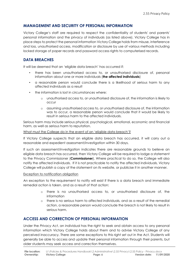#### **MANAGEMENT AND SECURITY OF PERSONAL INFORMATION**

Victory College's staff are required to respect the confidentiality of students' and parents' personal information and the privacy of individuals (as listed above). Victory College has in place steps to protect the personal information Victory College holds from misuse, interference and loss, unauthorised access, modification or disclosure by use of various methods including locked storage of paper records and password access rights to computerised records.

#### **DATA BREACHES**

It will be deemed that an 'eligible data breach' has occurred if:

- there has been unauthorised access to, or unauthorised disclosure of, personal information about one or more individuals (**the affected individuals**)
- a reasonable person would conclude there is a likelihood of serious harm to any affected individuals as a result
- the information is lost in circumstances where:
	- o unauthorised access to, or unauthorised disclosure of, the information is likely to occur
	- o assuming unauthorised access to, or unauthorised disclosure of, the information was to occur, a reasonable person would conclude that it would be likely to result in serious harm to the affected individuals.

Serious harm may include serious physical, psychological, emotional, economic and financial harm, as well as serious harm to reputation.

#### What must the College do in the event of an 'eligible data breach'?

If Victory College suspects that an eligible data breach has occurred, it will carry out a reasonable and expedient assessment/investigation within 30 days.

If such an assessment/investigation indicates there are reasonable grounds to believe an eligible data breach has occurred, then Victory College will be required to lodge a statement to the Privacy Commissioner (**Commissioner**). Where practical to do so, the College will also notify the affected individuals. If it is not practicable to notify the affected individuals, Victory College will publish a copy of the statement on its website, or publicise it in another manner.

#### Exception to notification obligation

An exception to the requirement to notify will exist if there is a data breach and immediate remedial action is taken, and as a result of that action:

- o there is no unauthorised access to, or unauthorised disclosure of, the information
- o there is no serious harm to affected individuals, and as a result of the remedial action, a reasonable person would conclude the breach is not likely to result in serious harm.

#### **ACCESS AND CORRECTION OF PERSONAL INFORMATION**

Under the *Privacy Act*, an individual has the right to seek and obtain access to any personal information which Victory College holds about them and to advise Victory College of any perceived inaccuracy. There are some exceptions to this right set out in the Act. Students will generally be able to access and update their personal information through their parents, but older students may seek access and correction themselves.